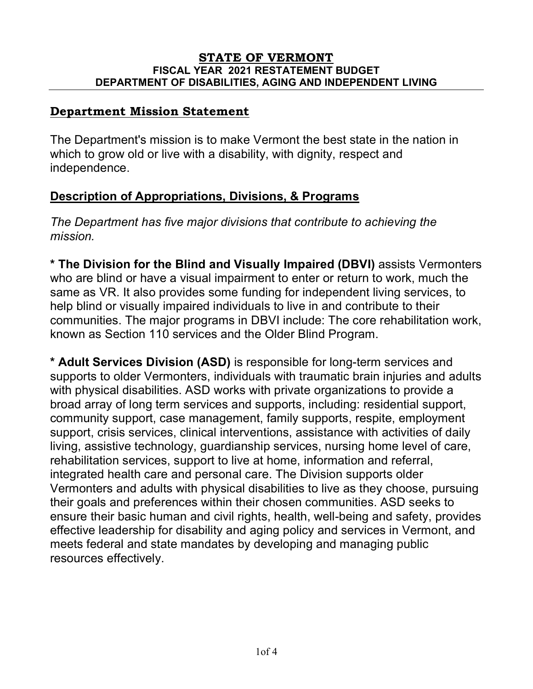### **STATE OF VERMONT FISCAL YEAR 2021 RESTATEMENT BUDGET DEPARTMENT OF DISABILITIES, AGING AND INDEPENDENT LIVING**

## **Department Mission Statement**

The Department's mission is to make Vermont the best state in the nation in which to grow old or live with a disability, with dignity, respect and independence.

# **Description of Appropriations, Divisions, & Programs**

*The Department has five major divisions that contribute to achieving the mission.*

**\* The Division for the Blind and Visually Impaired (DBVI)** assists Vermonters who are blind or have a visual impairment to enter or return to work, much the same as VR. It also provides some funding for independent living services, to help blind or visually impaired individuals to live in and contribute to their communities. The major programs in DBVI include: The core rehabilitation work, known as Section 110 services and the Older Blind Program.

**\* Adult Services Division (ASD)** is responsible for long-term services and supports to older Vermonters, individuals with traumatic brain injuries and adults with physical disabilities. ASD works with private organizations to provide a broad array of long term services and supports, including: residential support, community support, case management, family supports, respite, employment support, crisis services, clinical interventions, assistance with activities of daily living, assistive technology, guardianship services, nursing home level of care, rehabilitation services, support to live at home, information and referral, integrated health care and personal care. The Division supports older Vermonters and adults with physical disabilities to live as they choose, pursuing their goals and preferences within their chosen communities. ASD seeks to ensure their basic human and civil rights, health, well-being and safety, provides effective leadership for disability and aging policy and services in Vermont, and meets federal and state mandates by developing and managing public resources effectively.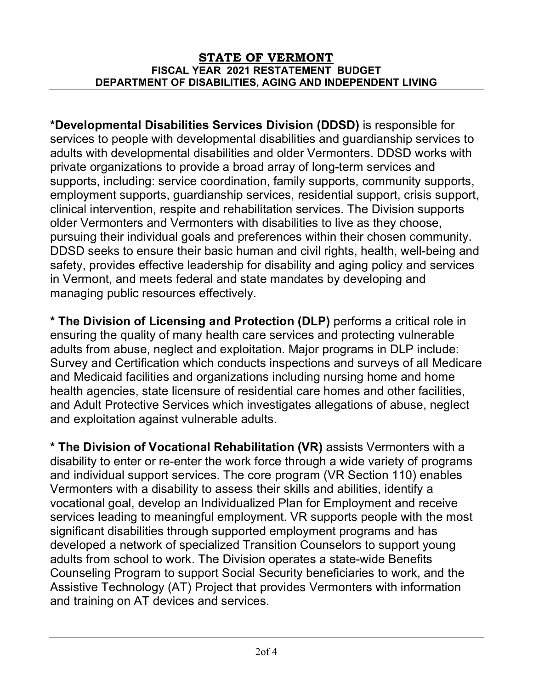### **STATE OF VERMONT FISCAL YEAR 2021 RESTATEMENT BUDGET DEPARTMENT OF DISABILITIES, AGING AND INDEPENDENT LIVING**

**\*Developmental Disabilities Services Division (DDSD)** is responsible for services to people with developmental disabilities and guardianship services to adults with developmental disabilities and older Vermonters. DDSD works with private organizations to provide a broad array of long-term services and supports, including: service coordination, family supports, community supports, employment supports, guardianship services, residential support, crisis support, clinical intervention, respite and rehabilitation services. The Division supports older Vermonters and Vermonters with disabilities to live as they choose, pursuing their individual goals and preferences within their chosen community. DDSD seeks to ensure their basic human and civil rights, health, well-being and safety, provides effective leadership for disability and aging policy and services in Vermont, and meets federal and state mandates by developing and managing public resources effectively.

**\* The Division of Licensing and Protection (DLP)** performs a critical role in ensuring the quality of many health care services and protecting vulnerable adults from abuse, neglect and exploitation. Major programs in DLP include: Survey and Certification which conducts inspections and surveys of all Medicare and Medicaid facilities and organizations including nursing home and home health agencies, state licensure of residential care homes and other facilities, and Adult Protective Services which investigates allegations of abuse, neglect and exploitation against vulnerable adults.

**\* The Division of Vocational Rehabilitation (VR)** assists Vermonters with a disability to enter or re-enter the work force through a wide variety of programs and individual support services. The core program (VR Section 110) enables Vermonters with a disability to assess their skills and abilities, identify a vocational goal, develop an Individualized Plan for Employment and receive services leading to meaningful employment. VR supports people with the most significant disabilities through supported employment programs and has developed a network of specialized Transition Counselors to support young adults from school to work. The Division operates a state-wide Benefits Counseling Program to support Social Security beneficiaries to work, and the Assistive Technology (AT) Project that provides Vermonters with information and training on AT devices and services.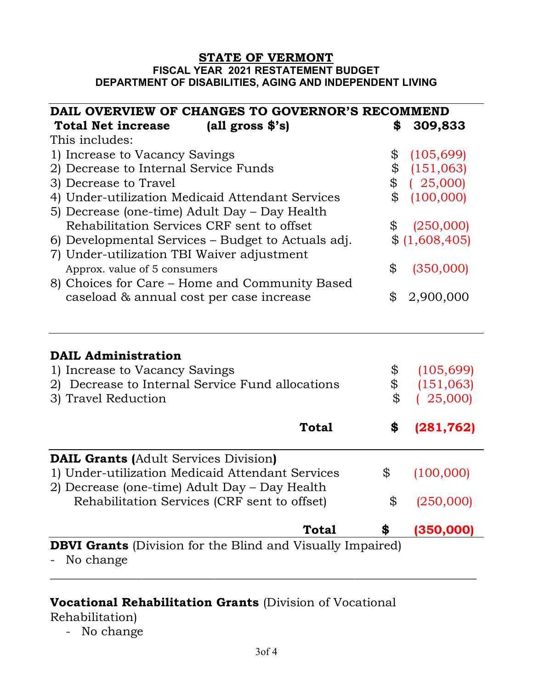### **STATE OF VERMONT FISCAL YEAR 2021 RESTATEMENT BUDGET DEPARTMENT OF DISABILITIES, AGING AND INDEPENDENT LIVING**

| DAIL OVERVIEW OF CHANGES TO GOVERNOR'S RECOMMEND               |    |               |  |  |
|----------------------------------------------------------------|----|---------------|--|--|
| (all gross $\hat{\mathbf{s}}$ 's)<br><b>Total Net increase</b> |    | 309,833       |  |  |
| This includes:                                                 |    |               |  |  |
| 1) Increase to Vacancy Savings                                 | \$ | (105, 699)    |  |  |
| 2) Decrease to Internal Service Funds                          | \$ | (151,063)     |  |  |
| 3) Decrease to Travel                                          | \$ | (25,000)      |  |  |
| 4) Under-utilization Medicaid Attendant Services               | \$ | (100,000)     |  |  |
| 5) Decrease (one-time) Adult Day – Day Health                  |    |               |  |  |
| Rehabilitation Services CRF sent to offset                     | \$ | (250,000)     |  |  |
| 6) Developmental Services – Budget to Actuals adj.             |    | \$(1,608,405) |  |  |
| 7) Under-utilization TBI Waiver adjustment                     |    |               |  |  |
| Approx. value of 5 consumers                                   | \$ | (350,000)     |  |  |
| 8) Choices for Care – Home and Community Based                 |    |               |  |  |
| caseload & annual cost per case increase                       |    | 2,900,000     |  |  |

# **DAIL Administration**

| \$<br>\$<br>\$                                                                 | (105,699)<br>(151,063)<br>25,000 |  |  |  |
|--------------------------------------------------------------------------------|----------------------------------|--|--|--|
|                                                                                | (281, 762)                       |  |  |  |
|                                                                                |                                  |  |  |  |
| \$                                                                             | (100,000)                        |  |  |  |
|                                                                                |                                  |  |  |  |
| \$                                                                             | (250,000)                        |  |  |  |
| \$                                                                             | (350,000)                        |  |  |  |
| <b>DBVI Grants</b> (Division for the Blind and Visually Impaired)<br>No change |                                  |  |  |  |
|                                                                                |                                  |  |  |  |
|                                                                                |                                  |  |  |  |

## **Vocational Rehabilitation Grants** (Division of Vocational

Rehabilitation)

- No change